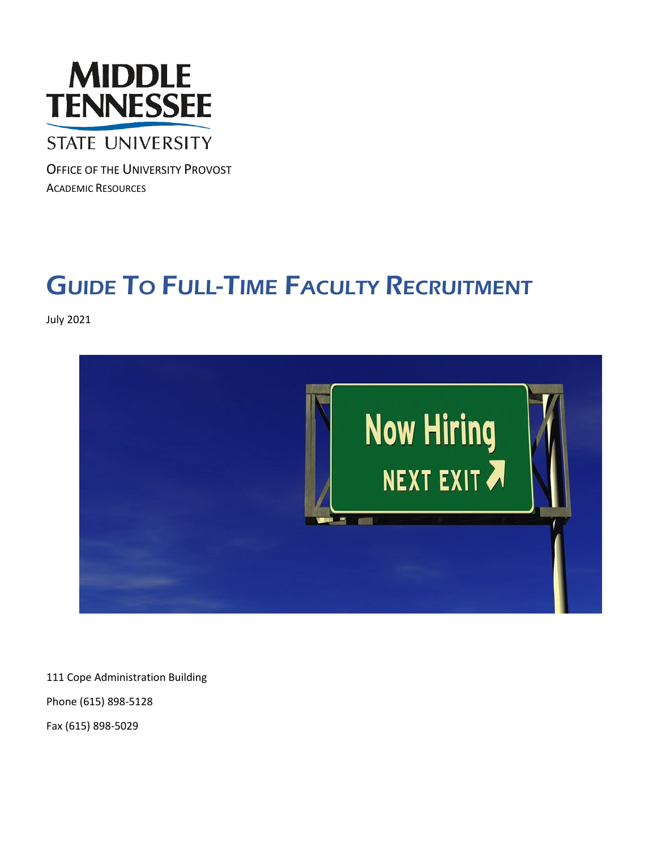

# **STATE UNIVERSITY**

OFFICE OF THE UNIVERSITY PROVOST ACADEMIC RESOURCES

# **GUIDE TO FULL-TIME FACULTY RECRUITMENT**

July 2021



111 Cope Administration Building

Phone (615) 898-5128

Fax (615) 898-5029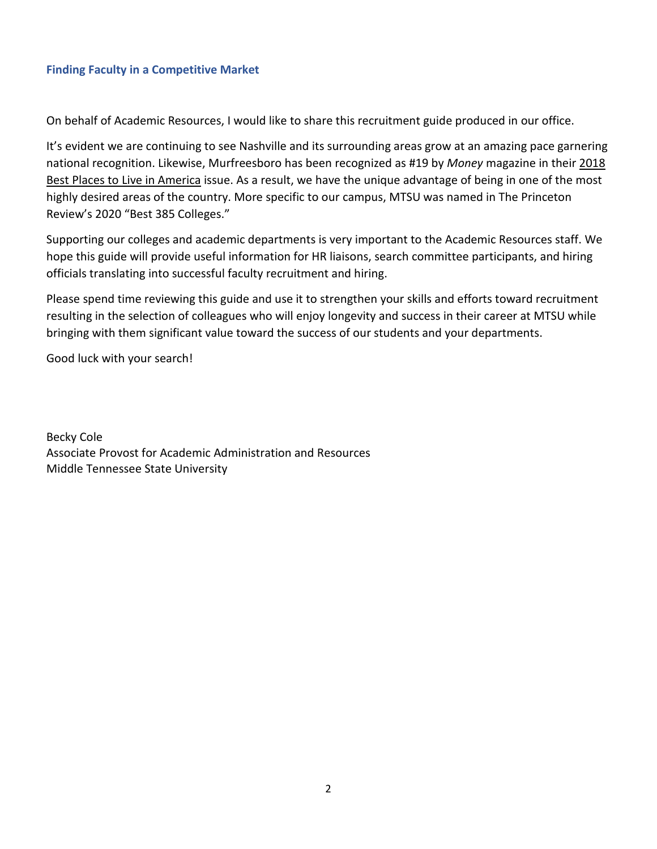## **Finding Faculty in a Competitive Market**

On behalf of Academic Resources, I would like to share this recruitment guide produced in our office.

It's evident we are continuing to see Nashville and its surrounding areas grow at an amazing pace garnering national recognition. Likewise, Murfreesboro has been recognized as #19 by *Money* magazine in their 2018 Best Places to Live in America issue. As a result, we have the unique advantage of being in one of the most highly desired areas of the country. More specific to our campus, MTSU was named in The Princeton Review's 2020 "Best 385 Colleges."

Supporting our colleges and academic departments is very important to the Academic Resources staff. We hope this guide will provide useful information for HR liaisons, search committee participants, and hiring officials translating into successful faculty recruitment and hiring.

Please spend time reviewing this guide and use it to strengthen your skills and efforts toward recruitment resulting in the selection of colleagues who will enjoy longevity and success in their career at MTSU while bringing with them significant value toward the success of our students and your departments.

Good luck with your search!

Becky Cole Associate Provost for Academic Administration and Resources Middle Tennessee State University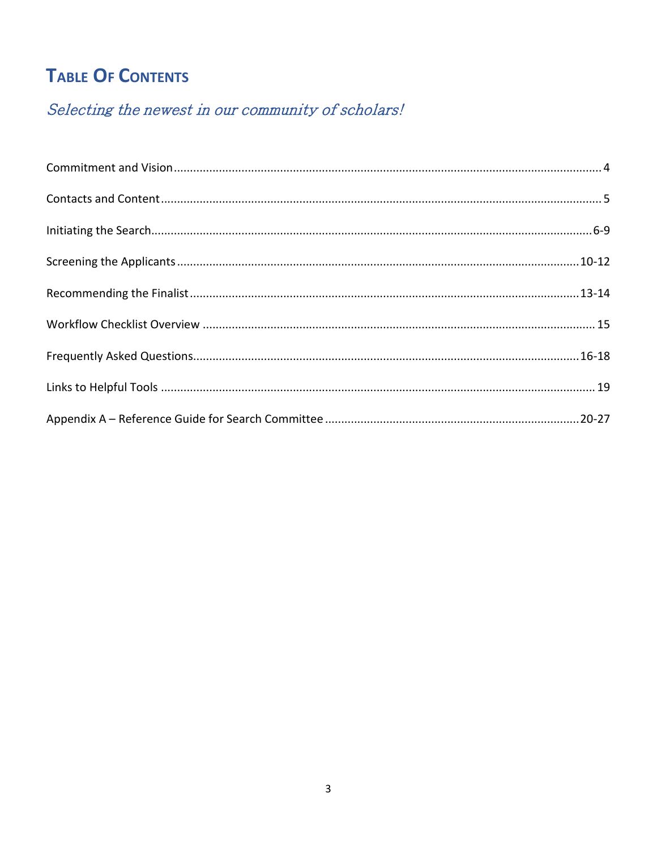# **TABLE OF CONTENTS**

# Selecting the newest in our community of scholars!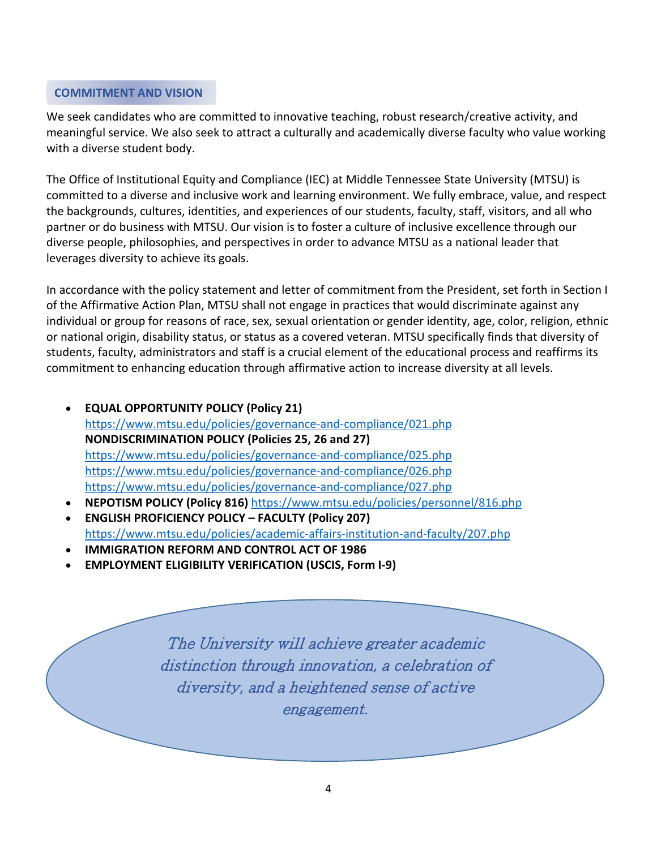#### <span id="page-3-0"></span>**COMMITMENT AND VISION**

We seek candidates who are committed to innovative teaching, robust research/creative activity, and meaningful service. We also seek to attract a culturally and academically diverse faculty who value working with a diverse student body.

The Office of Institutional Equity and Compliance (IEC) at Middle Tennessee State University (MTSU) is committed to a diverse and inclusive work and learning environment. We fully embrace, value, and respect the backgrounds, cultures, identities, and experiences of our students, faculty, staff, visitors, and all who partner or do business with MTSU. Our vision is to foster a culture of inclusive excellence through our diverse people, philosophies, and perspectives in order to advance MTSU as a national leader that leverages diversity to achieve its goals.

In accordance with the policy statement and letter of commitment from the President, set forth in Section I of the Affirmative Action Plan, MTSU shall not engage in practices that would discriminate against any individual or group for reasons of race, sex, sexual orientation or gender identity, age, color, religion, ethnic or national origin, disability status, or status as a covered veteran. MTSU specifically finds that diversity of students, faculty, administrators and staff is a crucial element of the educational process and reaffirms its commitment to enhancing education through affirmative action to increase diversity at all levels.

- **EQUAL OPPORTUNITY POLICY (Policy 21)** <https://www.mtsu.edu/policies/governance-and-compliance/021.php> **NONDISCRIMINATION POLICY (Policies 25, 26 and 27)**  <https://www.mtsu.edu/policies/governance-and-compliance/025.php> <https://www.mtsu.edu/policies/governance-and-compliance/026.php> <https://www.mtsu.edu/policies/governance-and-compliance/027.php>
- **NEPOTISM POLICY (Policy 816)** <https://www.mtsu.edu/policies/personnel/816.php>
- **ENGLISH PROFICIENCY POLICY – FACULTY (Policy 207)** <https://www.mtsu.edu/policies/academic-affairs-institution-and-faculty/207.php>
- **IMMIGRATION REFORM AND CONTROL ACT OF 1986**
- **EMPLOYMENT ELIGIBILITY VERIFICATION (USCIS, Form I-9)**

The University will achieve greater academic distinction through innovation, a celebration of diversity, and a heightened sense of active engagement.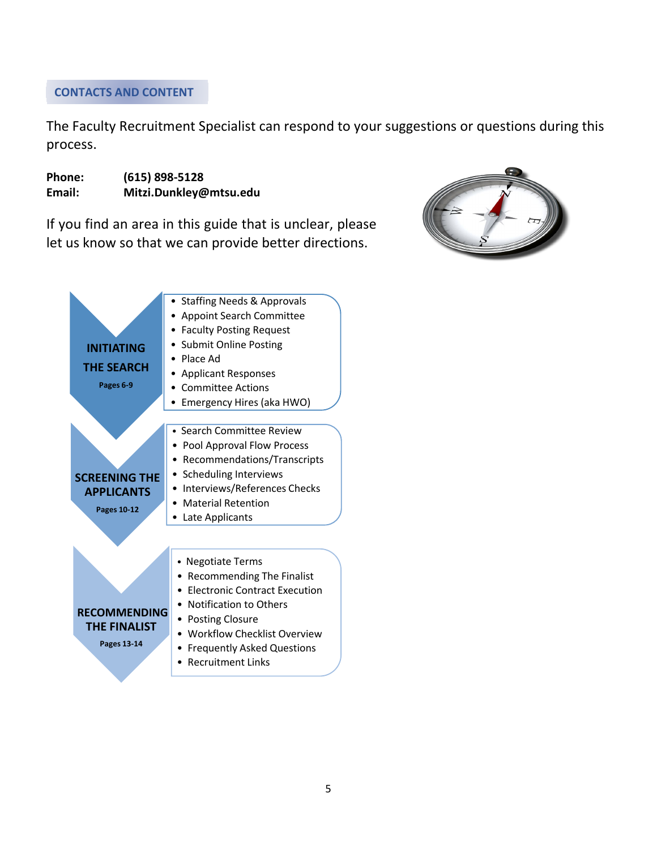# <span id="page-4-0"></span>**CONTACTS AND CONTENT**

The Faculty Recruitment Specialist can respond to your suggestions or questions during this process.

**Phone: (615) 898-5128 Email: Mitzi.Dunkley@mtsu.edu**

If you find an area in this guide that is unclear, please let us know so that we can provide better directions.



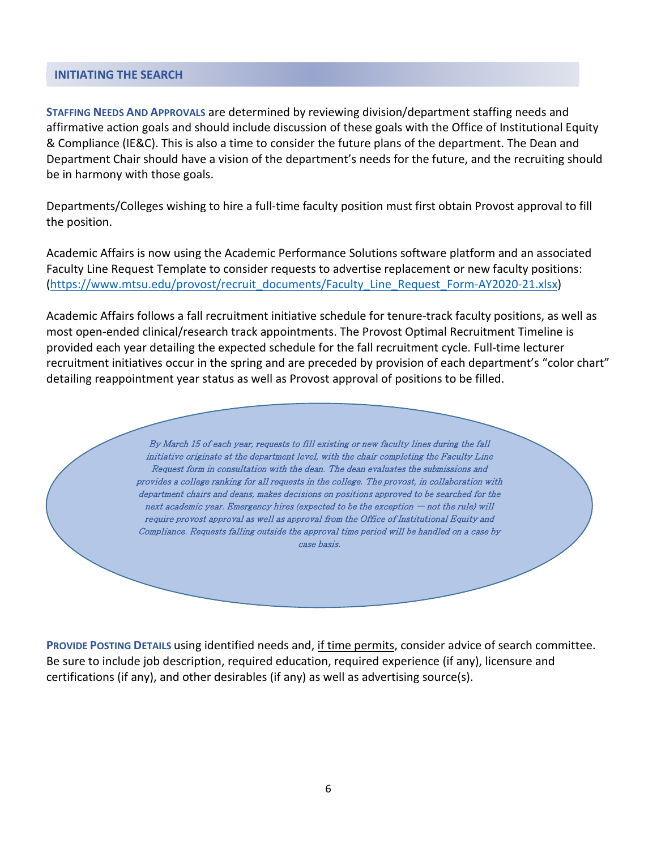#### <span id="page-5-0"></span>**INITIATING THE SEARCH**

**STAFFING NEEDS AND APPROVALS** are determined by reviewing division/department staffing needs and affirmative action goals and should include discussion of these goals with the Office of Institutional Equity & Compliance (IE&C). This is also a time to consider the future plans of the department. The Dean and Department Chair should have a vision of the department's needs for the future, and the recruiting should be in harmony with those goals.

Departments/Colleges wishing to hire a full-time faculty position must first obtain Provost approval to fill the position.

Academic Affairs is now using the Academic Performance Solutions software platform and an associated Faculty Line Request Template to consider requests to advertise replacement or new faculty positions: [\(https://www.mtsu.edu/provost/recruit\\_documents/Faculty\\_Line\\_Request\\_Form-AY2020-21.xlsx\)](https://www.mtsu.edu/provost/recruit_documents/Faculty_Line_Request_Form-AY2020-21.xlsx)

Academic Affairs follows a fall recruitment initiative schedule for tenure-track faculty positions, as well as most open-ended clinical/research track appointments. The Provost Optimal Recruitment Timeline is provided each year detailing the expected schedule for the fall recruitment cycle. Full-time lecturer recruitment initiatives occur in the spring and are preceded by provision of each department's "color chart" detailing reappointment year status as well as Provost approval of positions to be filled.

> By March 15 of each year, requests to fill existing or new faculty lines during the fall initiative originate at the department level, with the chair completing the Faculty Line Request form in consultation with the dean. The dean evaluates the submissions and provides a college ranking for all requests in the college. The provost, in collaboration with department chairs and deans, makes decisions on positions approved to be searched for the next academic year. Emergency hires (expected to be the exception – not the rule) will require provost approval as well as approval from the Office of Institutional Equity and Compliance. Requests falling outside the approval time period will be handled on a case by case basis.

**PROVIDE POSTING DETAILS** using identified needs and, if time permits, consider advice of search committee. Be sure to include job description, required education, required experience (if any), licensure and certifications (if any), and other desirables (if any) as well as advertising source(s).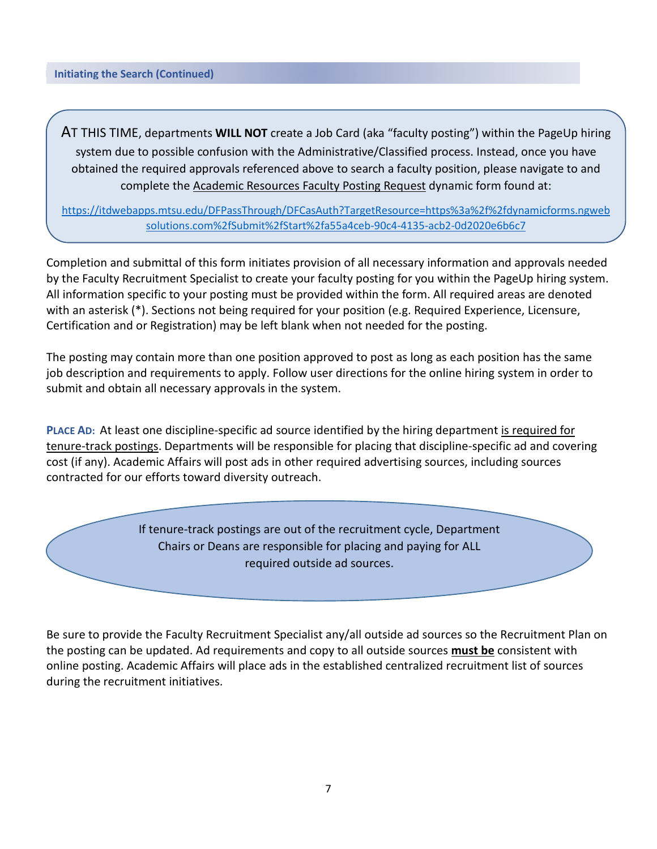AT THIS TIME, departments **WILL NOT** create a Job Card (aka "faculty posting") within the PageUp hiring system due to possible confusion with the Administrative/Classified process. Instead, once you have obtained the required approvals referenced above to search a faculty position, please navigate to and complete the Academic Resources Faculty Posting Request dynamic form found at:

[https://itdwebapps.mtsu.edu/DFPassThrough/DFCasAuth?TargetResource=https%3a%2f%2fdynamicforms.ngweb](https://itdwebapps.mtsu.edu/DFPassThrough/DFCasAuth?TargetResource=https%3a%2f%2fdynamicforms.ngwebsolutions.com%2fSubmit%2fStart%2fa55a4ceb-90c4-4135-acb2-0d2020e6b6c7) [solutions.com%2fSubmit%2fStart%2fa55a4ceb-90c4-4135-acb2-0d2020e6b6c7](https://itdwebapps.mtsu.edu/DFPassThrough/DFCasAuth?TargetResource=https%3a%2f%2fdynamicforms.ngwebsolutions.com%2fSubmit%2fStart%2fa55a4ceb-90c4-4135-acb2-0d2020e6b6c7)

Completion and submittal of this form initiates provision of all necessary information and approvals needed by the Faculty Recruitment Specialist to create your faculty posting for you within the PageUp hiring system. All information specific to your posting must be provided within the form. All required areas are denoted with an asterisk (\*). Sections not being required for your position (e.g. Required Experience, Licensure, Certification and or Registration) may be left blank when not needed for the posting.

The posting may contain more than one position approved to post as long as each position has the same job description and requirements to apply. Follow user directions for the online hiring system in order to submit and obtain all necessary approvals in the system.

**PLACE AD:** At least one discipline-specific ad source identified by the hiring department is required for tenure-track postings. Departments will be responsible for placing that discipline-specific ad and covering cost (if any). Academic Affairs will post ads in other required advertising sources, including sources contracted for our efforts toward diversity outreach.

> If tenure-track postings are out of the recruitment cycle, Department Chairs or Deans are responsible for placing and paying for ALL required outside ad sources.

Be sure to provide the Faculty Recruitment Specialist any/all outside ad sources so the Recruitment Plan on the posting can be updated. Ad requirements and copy to all outside sources **must be** consistent with online posting. Academic Affairs will place ads in the established centralized recruitment list of sources during the recruitment initiatives.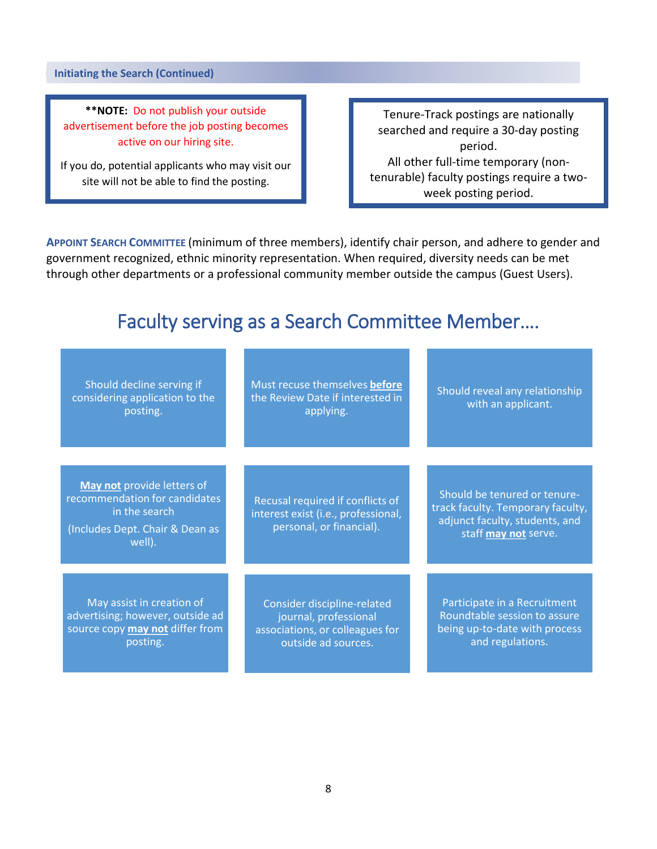**Initiating the Search (Continued)**

**\*\*NOTE:** Do not publish your outside advertisement before the job posting becomes active on our hiring site.

If you do, potential applicants who may visit our site will not be able to find the posting.

Tenure-Track postings are nationally searched and require a 30-day posting period. All other full-time temporary (nontenurable) faculty postings require a twoweek posting period.

**APPOINT SEARCH COMMITTEE** (minimum of three members), identify chair person, and adhere to gender and government recognized, ethnic minority representation. When required, diversity needs can be met through other departments or a professional community member outside the campus (Guest Users).

# Faculty serving as a Search Committee Member….

| Should decline serving if<br>considering application to the<br>posting.                                                   | Must recuse themselves before<br>the Review Date if interested in<br>applying.                                 | Should reveal any relationship<br>with an applicant.                                                                        |
|---------------------------------------------------------------------------------------------------------------------------|----------------------------------------------------------------------------------------------------------------|-----------------------------------------------------------------------------------------------------------------------------|
| May not provide letters of<br>recommendation for candidates<br>in the search<br>(Includes Dept. Chair & Dean as<br>well). | Recusal required if conflicts of<br>interest exist (i.e., professional,<br>personal, or financial).            | Should be tenured or tenure-<br>track faculty. Temporary faculty,<br>adjunct faculty, students, and<br>staff may not serve. |
| May assist in creation of<br>advertising; however, outside ad<br>source copy may not differ from<br>posting.              | Consider discipline-related<br>journal, professional<br>associations, or colleagues for<br>outside ad sources. | Participate in a Recruitment<br>Roundtable session to assure<br>being up-to-date with process<br>and regulations.           |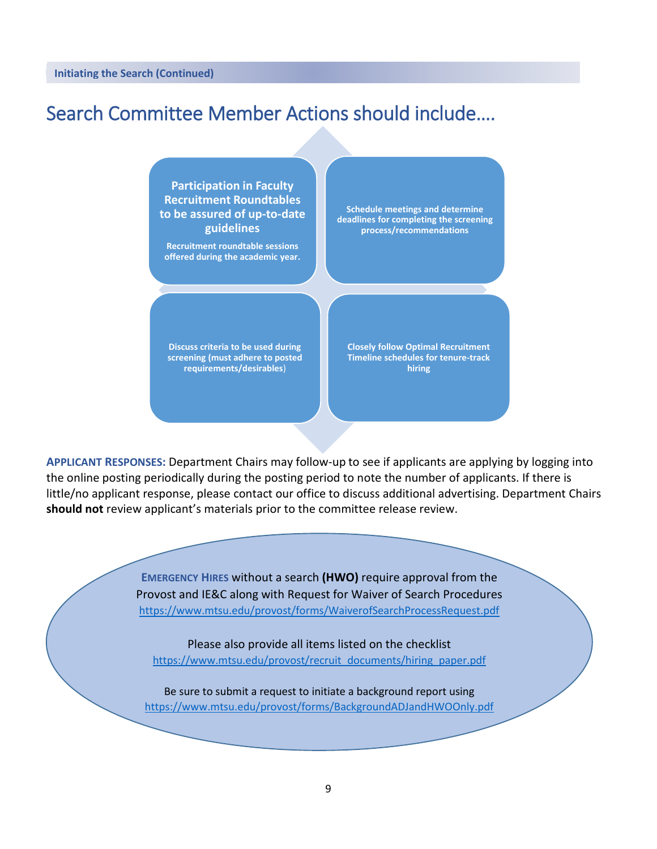# Search Committee Member Actions should include….

**Participation in Faculty Recruitment Roundtables to be assured of up-to-date guidelines**

**Recruitment roundtable sessions offered during the academic year.**

**Schedule meetings and determine deadlines for completing the screening process/recommendations**

**Discuss criteria to be used during screening (must adhere to posted requirements/desirables**)

**Closely follow Optimal Recruitment Timeline schedules for tenure-track hiring** 

**APPLICANT RESPONSES:** Department Chairs may follow-up to see if applicants are applying by logging into the online posting periodically during the posting period to note the number of applicants. If there is little/no applicant response, please contact our office to discuss additional advertising. Department Chairs **should not** review applicant's materials prior to the committee release review.

> **EMERGENCY HIRES** without a search **(HWO)** require approval from the Provost and IE&C along with Request for Waiver of Search Procedures <https://www.mtsu.edu/provost/forms/WaiverofSearchProcessRequest.pdf>

Please also provide all items listed on the checklist [https://www.mtsu.edu/provost/recruit\\_documents/hiring\\_paper.pdf](https://www.mtsu.edu/provost/recruit_documents/hiring_paper.pdf)

Be sure to submit a request to initiate a background report using <https://www.mtsu.edu/provost/forms/BackgroundADJandHWOOnly.pdf>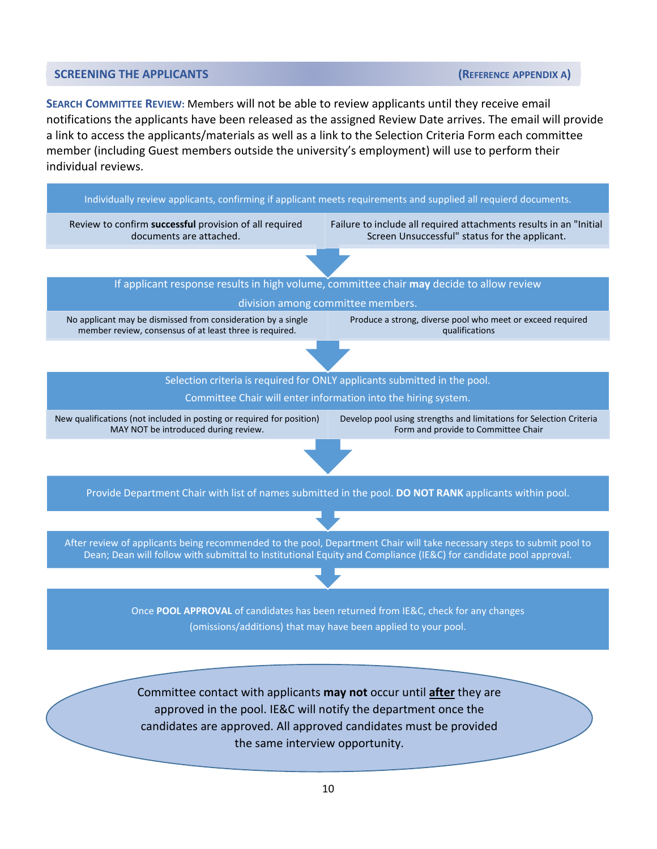#### <span id="page-9-0"></span>**SCREENING THE APPLICANTS CONSUMITION CONSUMING THE APPENDIX A**

**SEARCH COMMITTEE REVIEW:** Members will not be able to review applicants until they receive email notifications the applicants have been released as the assigned Review Date arrives. The email will provide a link to access the applicants/materials as well as a link to the Selection Criteria Form each committee member (including Guest members outside the university's employment) will use to perform their individual reviews.

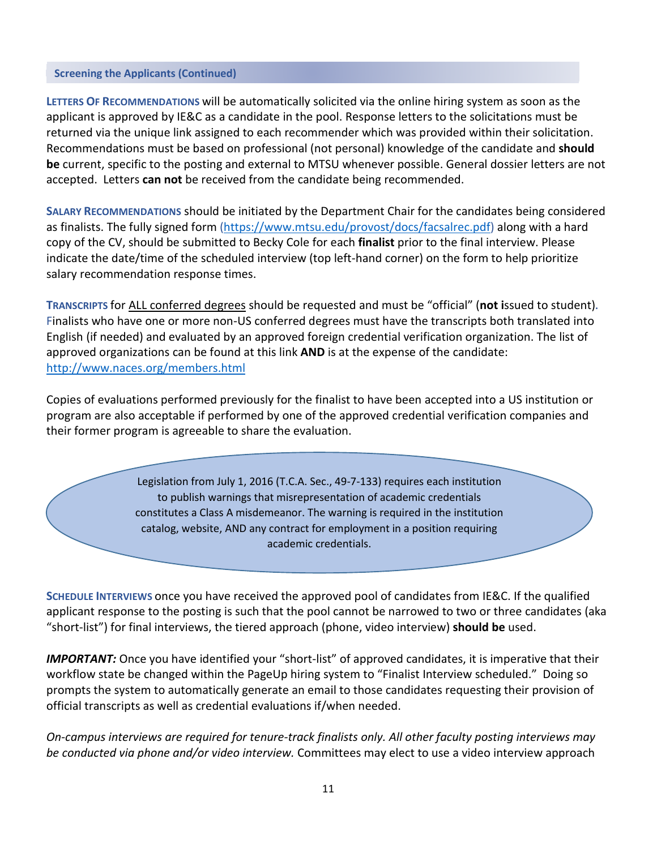#### **Screening the Applicants (Continued)**

**LETTERS OF RECOMMENDATIONS** will be automatically solicited via the online hiring system as soon as the applicant is approved by IE&C as a candidate in the pool. Response letters to the solicitations must be returned via the unique link assigned to each recommender which was provided within their solicitation. Recommendations must be based on professional (not personal) knowledge of the candidate and **should be** current, specific to the posting and external to MTSU whenever possible. General dossier letters are not accepted. Letters **can not** be received from the candidate being recommended.

**SALARY RECOMMENDATIONS** should be initiated by the Department Chair for the candidates being considered as finalists. The fully signed form [\(https://www.mtsu.edu/provost/docs/facsalrec.pdf\)](https://www.mtsu.edu/provost/docs/facsalrec.pdf) along with a hard copy of the CV, should be submitted to Becky Cole for each **finalist** prior to the final interview. Please indicate the date/time of the scheduled interview (top left-hand corner) on the form to help prioritize salary recommendation response times.

**TRANSCRIPTS** for ALL conferred degrees should be requested and must be "official" (**not i**ssued to student)**.**  Finalists who have one or more non-US conferred degrees must have the transcripts both translated into English (if needed) and evaluated by an approved foreign credential verification organization. The list of approved organizations can be found at this link **AND** is at the expense of the candidate: <http://www.naces.org/members.html>

Copies of evaluations performed previously for the finalist to have been accepted into a US institution or program are also acceptable if performed by one of the approved credential verification companies and their former program is agreeable to share the evaluation.

> Legislation from July 1, 2016 (T.C.A. Sec., 49-7-133) requires each institution to publish warnings that misrepresentation of academic credentials constitutes a Class A misdemeanor. The warning is required in the institution catalog, website, AND any contract for employment in a position requiring academic credentials.

**SCHEDULE INTERVIEWS** once you have received the approved pool of candidates from IE&C. If the qualified applicant response to the posting is such that the pool cannot be narrowed to two or three candidates (aka "short-list") for final interviews, the tiered approach (phone, video interview) **should be** used.

*IMPORTANT:* Once you have identified your "short-list" of approved candidates, it is imperative that their workflow state be changed within the PageUp hiring system to "Finalist Interview scheduled." Doing so prompts the system to automatically generate an email to those candidates requesting their provision of official transcripts as well as credential evaluations if/when needed.

*On-campus interviews are required for tenure-track finalists only. All other faculty posting interviews may be conducted via phone and/or video interview.* Committees may elect to use a video interview approach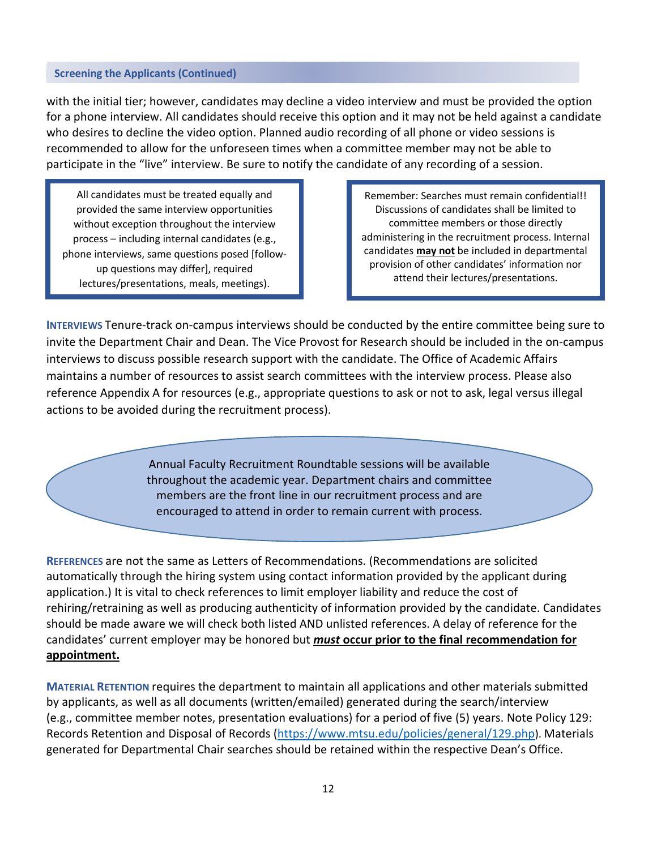#### **Screening the Applicants (Continued)**

with the initial tier; however, candidates may decline a video interview and must be provided the option for a phone interview. All candidates should receive this option and it may not be held against a candidate who desires to decline the video option. Planned audio recording of all phone or video sessions is recommended to allow for the unforeseen times when a committee member may not be able to participate in the "live" interview. Be sure to notify the candidate of any recording of a session.

All candidates must be treated equally and provided the same interview opportunities without exception throughout the interview process – including internal candidates (e.g., phone interviews, same questions posed [followup questions may differ], required lectures/presentations, meals, meetings).

Remember: Searches must remain confidential!! Discussions of candidates shall be limited to committee members or those directly administering in the recruitment process. Internal candidates **may not** be included in departmental provision of other candidates' information nor attend their lectures/presentations.

**INTERVIEWS** Tenure-track on-campus interviews should be conducted by the entire committee being sure to invite the Department Chair and Dean. The Vice Provost for Research should be included in the on-campus interviews to discuss possible research support with the candidate. The Office of Academic Affairs maintains a number of resources to assist search committees with the interview process. Please also reference Appendix A for resources (e.g., appropriate questions to ask or not to ask, legal versus illegal actions to be avoided during the recruitment process).

> Annual Faculty Recruitment Roundtable sessions will be available throughout the academic year. Department chairs and committee members are the front line in our recruitment process and are encouraged to attend in order to remain current with process.

**REFERENCES** are not the same as Letters of Recommendations. (Recommendations are solicited automatically through the hiring system using contact information provided by the applicant during application.) It is vital to check references to limit employer liability and reduce the cost of rehiring/retraining as well as producing authenticity of information provided by the candidate. Candidates should be made aware we will check both listed AND unlisted references. A delay of reference for the candidates' current employer may be honored but *must* **occur prior to the final recommendation for appointment.**

**MATERIAL RETENTION** requires the department to maintain all applications and other materials submitted by applicants, as well as all documents (written/emailed) generated during the search/interview (e.g., committee member notes, presentation evaluations) for a period of five (5) years. Note Policy 129: Records Retention and Disposal of Records [\(https://www.mtsu.edu/policies/general/129.php\)](https://www.mtsu.edu/policies/general/129.php). Materials generated for Departmental Chair searches should be retained within the respective Dean's Office.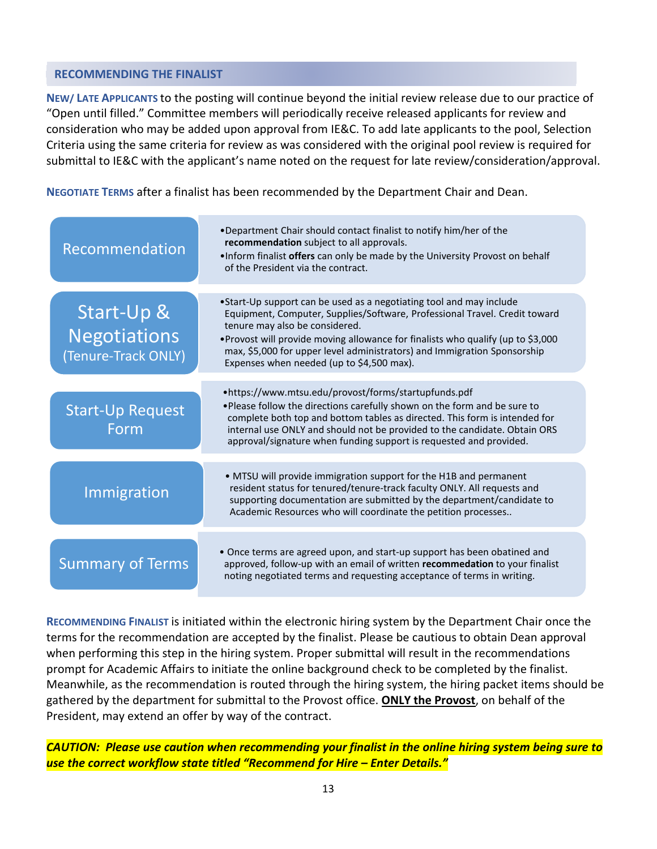# <span id="page-12-0"></span>**RECOMMENDING THE FINALIST**

**NEW/ LATE APPLICANTS** to the posting will continue beyond the initial review release due to our practice of "Open until filled." Committee members will periodically receive released applicants for review and consideration who may be added upon approval from IE&C. To add late applicants to the pool, Selection Criteria using the same criteria for review as was considered with the original pool review is required for submittal to IE&C with the applicant's name noted on the request for late review/consideration/approval.

**NEGOTIATE TERMS** after a finalist has been recommended by the Department Chair and Dean.

| Recommendation                                           | •Department Chair should contact finalist to notify him/her of the<br>recommendation subject to all approvals.<br>. Inform finalist offers can only be made by the University Provost on behalf<br>of the President via the contract.                                                                                                                                                            |
|----------------------------------------------------------|--------------------------------------------------------------------------------------------------------------------------------------------------------------------------------------------------------------------------------------------------------------------------------------------------------------------------------------------------------------------------------------------------|
| Start-Up &<br><b>Negotiations</b><br>(Tenure-Track ONLY) | •Start-Up support can be used as a negotiating tool and may include<br>Equipment, Computer, Supplies/Software, Professional Travel. Credit toward<br>tenure may also be considered.<br>. Provost will provide moving allowance for finalists who qualify (up to \$3,000<br>max, \$5,000 for upper level administrators) and Immigration Sponsorship<br>Expenses when needed (up to \$4,500 max). |
| <b>Start-Up Request</b><br>Form                          | •https://www.mtsu.edu/provost/forms/startupfunds.pdf<br>. Please follow the directions carefully shown on the form and be sure to<br>complete both top and bottom tables as directed. This form is intended for<br>internal use ONLY and should not be provided to the candidate. Obtain ORS<br>approval/signature when funding support is requested and provided.                               |
| Immigration                                              | • MTSU will provide immigration support for the H1B and permanent<br>resident status for tenured/tenure-track faculty ONLY. All requests and<br>supporting documentation are submitted by the department/candidate to<br>Academic Resources who will coordinate the petition processes                                                                                                           |
| <b>Summary of Terms</b>                                  | • Once terms are agreed upon, and start-up support has been obatined and<br>approved, follow-up with an email of written recommedation to your finalist<br>noting negotiated terms and requesting acceptance of terms in writing.                                                                                                                                                                |

**RECOMMENDING FINALIST** is initiated within the electronic hiring system by the Department Chair once the terms for the recommendation are accepted by the finalist. Please be cautious to obtain Dean approval when performing this step in the hiring system. Proper submittal will result in the recommendations prompt for Academic Affairs to initiate the online background check to be completed by the finalist. Meanwhile, as the recommendation is routed through the hiring system, the hiring packet items should be gathered by the department for submittal to the Provost office. **ONLY the Provost**, on behalf of the President, may extend an offer by way of the contract.

*CAUTION: Please use caution when recommending your finalist in the online hiring system being sure to use the correct workflow state titled "Recommend for Hire – Enter Details."*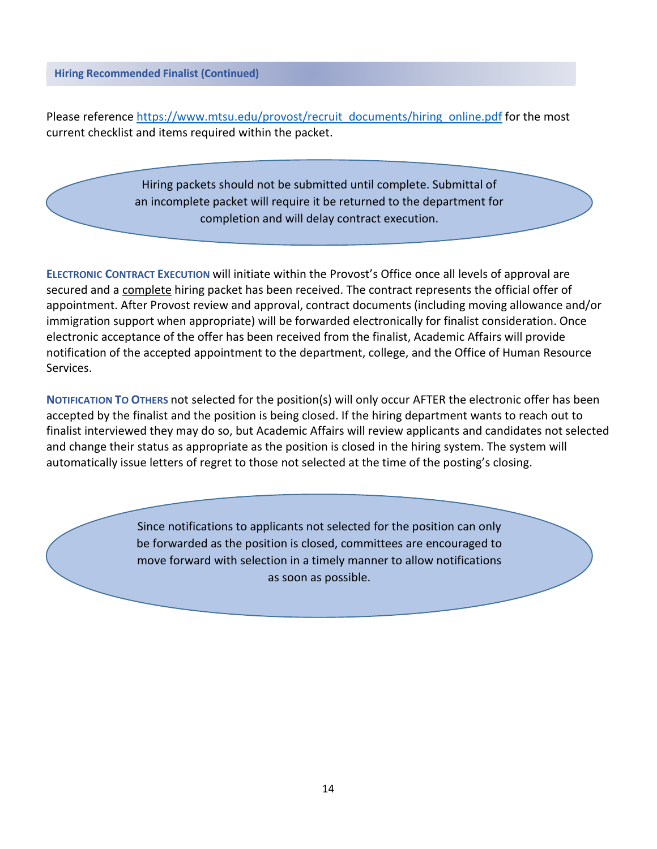**Hiring Recommended Finalist (Continued)**

Please reference [https://www.mtsu.edu/provost/recruit\\_documents/hiring\\_online.pdf](https://www.mtsu.edu/provost/recruit_documents/hiring_online.pdf) for the most current checklist and items required within the packet.

> Hiring packets should not be submitted until complete. Submittal of an incomplete packet will require it be returned to the department for completion and will delay contract execution.

**ELECTRONIC CONTRACT EXECUTION** will initiate within the Provost's Office once all levels of approval are secured and a complete hiring packet has been received. The contract represents the official offer of appointment. After Provost review and approval, contract documents (including moving allowance and/or immigration support when appropriate) will be forwarded electronically for finalist consideration. Once electronic acceptance of the offer has been received from the finalist, Academic Affairs will provide notification of the accepted appointment to the department, college, and the Office of Human Resource Services.

**NOTIFICATION TO OTHERS** not selected for the position(s) will only occur AFTER the electronic offer has been accepted by the finalist and the position is being closed. If the hiring department wants to reach out to finalist interviewed they may do so, but Academic Affairs will review applicants and candidates not selected and change their status as appropriate as the position is closed in the hiring system. The system will automatically issue letters of regret to those not selected at the time of the posting's closing.

> Since notifications to applicants not selected for the position can only be forwarded as the position is closed, committees are encouraged to move forward with selection in a timely manner to allow notifications as soon as possible.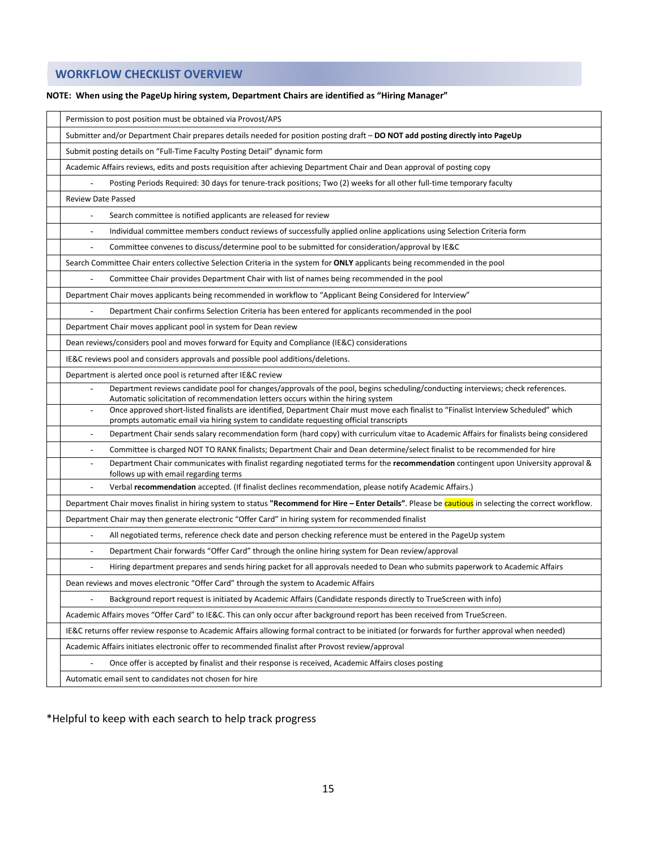# <span id="page-14-0"></span>**WORKFLOW CHECKLIST OVERVIEW**

| Permission to post position must be obtained via Provost/APS                                                                                                                                                                    |  |  |
|---------------------------------------------------------------------------------------------------------------------------------------------------------------------------------------------------------------------------------|--|--|
| Submitter and/or Department Chair prepares details needed for position posting draft - DO NOT add posting directly into PageUp                                                                                                  |  |  |
| Submit posting details on "Full-Time Faculty Posting Detail" dynamic form                                                                                                                                                       |  |  |
| Academic Affairs reviews, edits and posts requisition after achieving Department Chair and Dean approval of posting copy                                                                                                        |  |  |
| Posting Periods Required: 30 days for tenure-track positions; Two (2) weeks for all other full-time temporary faculty                                                                                                           |  |  |
| <b>Review Date Passed</b>                                                                                                                                                                                                       |  |  |
| Search committee is notified applicants are released for review<br>÷,                                                                                                                                                           |  |  |
| Individual committee members conduct reviews of successfully applied online applications using Selection Criteria form                                                                                                          |  |  |
| Committee convenes to discuss/determine pool to be submitted for consideration/approval by IE&C                                                                                                                                 |  |  |
| Search Committee Chair enters collective Selection Criteria in the system for ONLY applicants being recommended in the pool                                                                                                     |  |  |
| Committee Chair provides Department Chair with list of names being recommended in the pool<br>÷,                                                                                                                                |  |  |
| Department Chair moves applicants being recommended in workflow to "Applicant Being Considered for Interview"                                                                                                                   |  |  |
| Department Chair confirms Selection Criteria has been entered for applicants recommended in the pool                                                                                                                            |  |  |
| Department Chair moves applicant pool in system for Dean review                                                                                                                                                                 |  |  |
| Dean reviews/considers pool and moves forward for Equity and Compliance (IE&C) considerations                                                                                                                                   |  |  |
| IE&C reviews pool and considers approvals and possible pool additions/deletions.                                                                                                                                                |  |  |
| Department is alerted once pool is returned after IE&C review                                                                                                                                                                   |  |  |
| Department reviews candidate pool for changes/approvals of the pool, begins scheduling/conducting interviews; check references.<br>Automatic solicitation of recommendation letters occurs within the hiring system             |  |  |
| Once approved short-listed finalists are identified, Department Chair must move each finalist to "Finalist Interview Scheduled" which<br>prompts automatic email via hiring system to candidate requesting official transcripts |  |  |
| Department Chair sends salary recommendation form (hard copy) with curriculum vitae to Academic Affairs for finalists being considered                                                                                          |  |  |
| Committee is charged NOT TO RANK finalists; Department Chair and Dean determine/select finalist to be recommended for hire                                                                                                      |  |  |
| Department Chair communicates with finalist regarding negotiated terms for the recommendation contingent upon University approval &<br>follows up with email regarding terms                                                    |  |  |
| Verbal recommendation accepted. (If finalist declines recommendation, please notify Academic Affairs.)                                                                                                                          |  |  |
| Department Chair moves finalist in hiring system to status "Recommend for Hire - Enter Details". Please be cautious in selecting the correct workflow.                                                                          |  |  |
| Department Chair may then generate electronic "Offer Card" in hiring system for recommended finalist                                                                                                                            |  |  |
| All negotiated terms, reference check date and person checking reference must be entered in the PageUp system<br>÷,                                                                                                             |  |  |
| Department Chair forwards "Offer Card" through the online hiring system for Dean review/approval                                                                                                                                |  |  |
| Hiring department prepares and sends hiring packet for all approvals needed to Dean who submits paperwork to Academic Affairs                                                                                                   |  |  |
| Dean reviews and moves electronic "Offer Card" through the system to Academic Affairs                                                                                                                                           |  |  |
| Background report request is initiated by Academic Affairs (Candidate responds directly to TrueScreen with info)                                                                                                                |  |  |
| Academic Affairs moves "Offer Card" to IE&C. This can only occur after background report has been received from TrueScreen.                                                                                                     |  |  |
| IE&C returns offer review response to Academic Affairs allowing formal contract to be initiated (or forwards for further approval when needed)                                                                                  |  |  |
| Academic Affairs initiates electronic offer to recommended finalist after Provost review/approval                                                                                                                               |  |  |
| Once offer is accepted by finalist and their response is received, Academic Affairs closes posting                                                                                                                              |  |  |
| Automatic email sent to candidates not chosen for hire                                                                                                                                                                          |  |  |
|                                                                                                                                                                                                                                 |  |  |

#### **NOTE: When using the PageUp hiring system, Department Chairs are identified as "Hiring Manager"**

\*Helpful to keep with each search to help track progress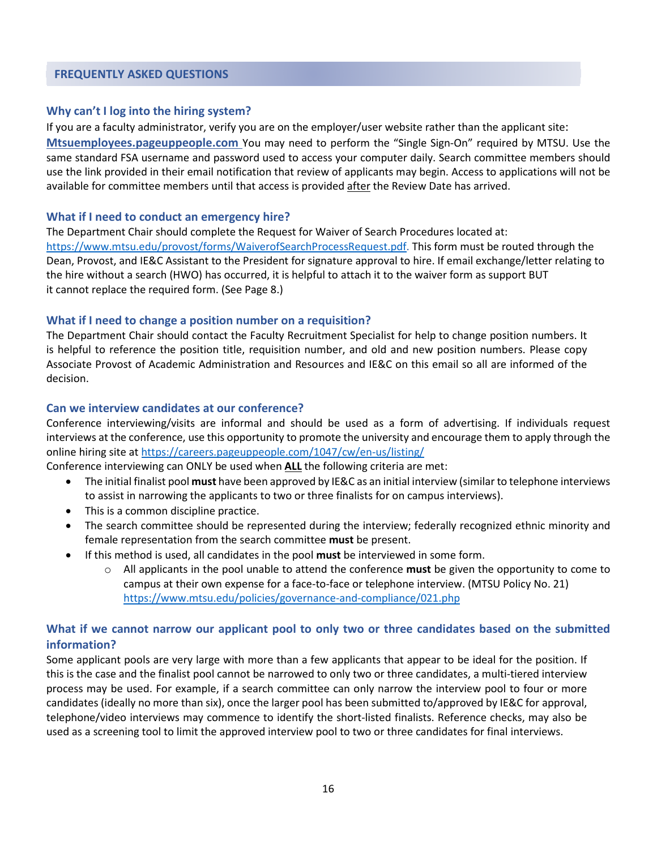#### <span id="page-15-0"></span>**FREQUENTLY ASKED QUESTIONS**

#### **Why can't I log into the hiring system?**

If you are a faculty administrator, verify you are on the employer/user website rather than the applicant site: **Mtsuemployees.pageuppeople.com** You may need to perform the "Single Sign-On" required by MTSU. Use the same standard FSA username and password used to access your computer daily. Search committee members should use the link provided in their email notification that review of applicants may begin. Access to applications will not be available for committee members until that access is provided after the Review Date has arrived.

#### **What if I need to conduct an emergency hire?**

The Department Chair should complete the Request for Waiver of Search Procedures located at: [https://www.mtsu.edu/provost/forms/WaiverofSearchProcessRequest.pdf.](https://www.mtsu.edu/provost/forms/WaiverofSearchProcessRequest.pdf) This form must be routed through the Dean, Provost, and IE&C Assistant to the President for signature approval to hire. If email exchange/letter relating to the hire without a search (HWO) has occurred, it is helpful to attach it to the waiver form as support BUT it cannot replace the required form. (See Page 8.)

#### **What if I need to change a position number on a requisition?**

The Department Chair should contact the Faculty Recruitment Specialist for help to change position numbers. It is helpful to reference the position title, requisition number, and old and new position numbers. Please copy Associate Provost of Academic Administration and Resources and IE&C on this email so all are informed of the decision.

#### **Can we interview candidates at our conference?**

Conference interviewing/visits are informal and should be used as a form of advertising. If individuals request interviews at the conference, use this opportunity to promote the university and encourage them to apply through the online hiring site a[t https://careers.pageuppeople.com/1047/cw/en-us/listing/](https://careers.pageuppeople.com/1047/cw/en-us/listing/)

Conference interviewing can ONLY be used when **ALL** the following criteria are met:

- The initial finalist pool **must** have been approved by IE&C as an initial interview (similar to telephone interviews to assist in narrowing the applicants to two or three finalists for on campus interviews).
- This is a common discipline practice.
- The search committee should be represented during the interview; federally recognized ethnic minority and female representation from the search committee **must** be present.
- If this method is used, all candidates in the pool **must** be interviewed in some form.
	- o All applicants in the pool unable to attend the conference **must** be given the opportunity to come to campus at their own expense for a face-to-face or telephone interview. (MTSU Policy No. 21) <https://www.mtsu.edu/policies/governance-and-compliance/021.php>

# **What if we cannot narrow our applicant pool to only two or three candidates based on the submitted information?**

Some applicant pools are very large with more than a few applicants that appear to be ideal for the position. If this is the case and the finalist pool cannot be narrowed to only two or three candidates, a multi-tiered interview process may be used. For example, if a search committee can only narrow the interview pool to four or more candidates (ideally no more than six), once the larger pool has been submitted to/approved by IE&C for approval, telephone/video interviews may commence to identify the short-listed finalists. Reference checks, may also be used as a screening tool to limit the approved interview pool to two or three candidates for final interviews.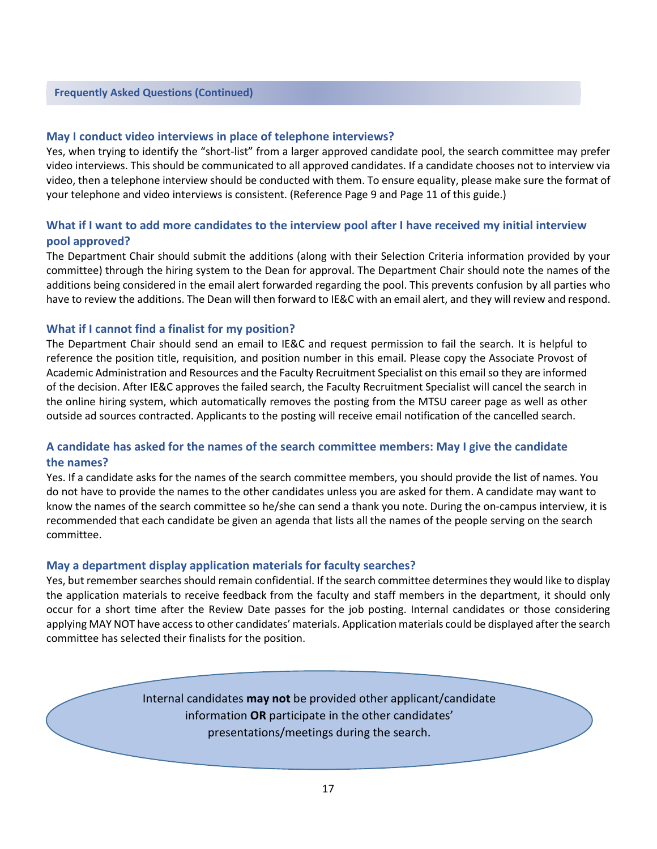#### **Frequently Asked Questions (Continued)**

#### **May I conduct video interviews in place of telephone interviews?**

Yes, when trying to identify the "short-list" from a larger approved candidate pool, the search committee may prefer video interviews. This should be communicated to all approved candidates. If a candidate chooses not to interview via video, then a telephone interview should be conducted with them. To ensure equality, please make sure the format of your telephone and video interviews is consistent. (Reference Page 9 and Page 11 of this guide.)

### **What if I want to add more candidates to the interview pool after I have received my initial interview pool approved?**

The Department Chair should submit the additions (along with their Selection Criteria information provided by your committee) through the hiring system to the Dean for approval. The Department Chair should note the names of the additions being considered in the email alert forwarded regarding the pool. This prevents confusion by all parties who have to review the additions. The Dean will then forward to IE&C with an email alert, and they will review and respond.

#### **What if I cannot find a finalist for my position?**

The Department Chair should send an email to IE&C and request permission to fail the search. It is helpful to reference the position title, requisition, and position number in this email. Please copy the Associate Provost of Academic Administration and Resources and the Faculty Recruitment Specialist on this email so they are informed of the decision. After IE&C approves the failed search, the Faculty Recruitment Specialist will cancel the search in the online hiring system, which automatically removes the posting from the MTSU career page as well as other outside ad sources contracted. Applicants to the posting will receive email notification of the cancelled search.

### **A candidate has asked for the names of the search committee members: May I give the candidate the names?**

Yes. If a candidate asks for the names of the search committee members, you should provide the list of names. You do not have to provide the names to the other candidates unless you are asked for them. A candidate may want to know the names of the search committee so he/she can send a thank you note. During the on-campus interview, it is recommended that each candidate be given an agenda that lists all the names of the people serving on the search committee.

#### **May a department display application materials for faculty searches?**

Yes, but remember searches should remain confidential. If the search committee determinesthey would like to display the application materials to receive feedback from the faculty and staff members in the department, it should only occur for a short time after the Review Date passes for the job posting. Internal candidates or those considering applying MAY NOT have access to other candidates' materials. Application materials could be displayed after the search committee has selected their finalists for the position.

> Internal candidates **may not** be provided other applicant/candidate information **OR** participate in the other candidates' presentations/meetings during the search.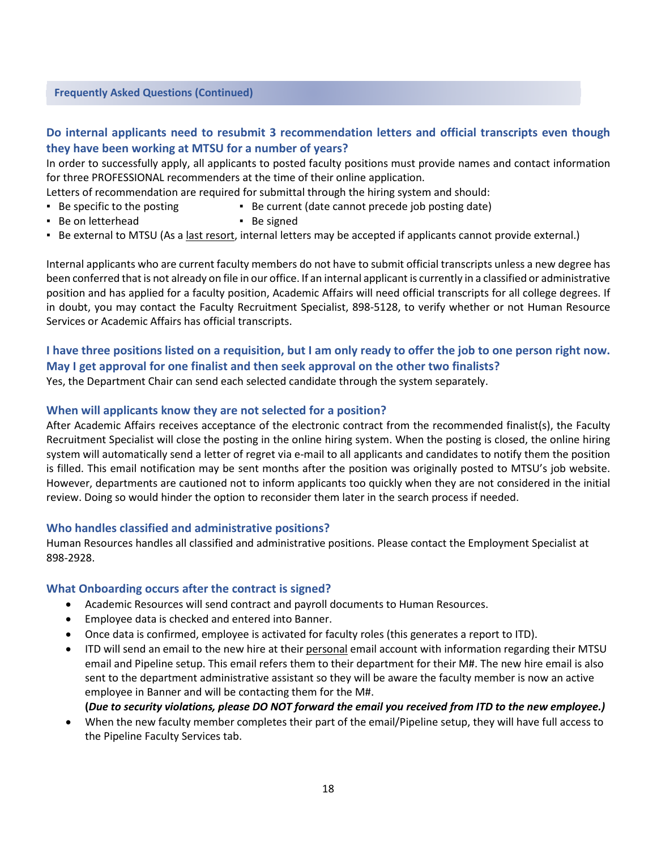#### **Frequently Asked Questions (Continued)**

# **Do internal applicants need to resubmit 3 recommendation letters and official transcripts even though they have been working at MTSU for a number of years?**

In order to successfully apply, all applicants to posted faculty positions must provide names and contact information for three PROFESSIONAL recommenders at the time of their online application.

- Letters of recommendation are required for submittal through the hiring system and should:
- Be specific to the posting Be current (date cannot precede job posting date)
- Be on letterhead Be signed
- Be external to MTSU (As a last resort, internal letters may be accepted if applicants cannot provide external.)

Internal applicants who are current faculty members do not have to submit official transcripts unless a new degree has been conferred that is not already on file in our office. If an internal applicant is currently in a classified or administrative position and has applied for a faculty position, Academic Affairs will need official transcripts for all college degrees. If in doubt, you may contact the Faculty Recruitment Specialist, 898-5128, to verify whether or not Human Resource Services or Academic Affairs has official transcripts.

# **I have three positions listed on a requisition, but I am only ready to offer the job to one person right now. May I get approval for one finalist and then seek approval on the other two finalists?**

Yes, the Department Chair can send each selected candidate through the system separately.

#### **When will applicants know they are not selected for a position?**

After Academic Affairs receives acceptance of the electronic contract from the recommended finalist(s), the Faculty Recruitment Specialist will close the posting in the online hiring system. When the posting is closed, the online hiring system will automatically send a letter of regret via e-mail to all applicants and candidates to notify them the position is filled. This email notification may be sent months after the position was originally posted to MTSU's job website. However, departments are cautioned not to inform applicants too quickly when they are not considered in the initial review. Doing so would hinder the option to reconsider them later in the search process if needed.

#### **Who handles classified and administrative positions?**

Human Resources handles all classified and administrative positions. Please contact the Employment Specialist at 898-2928.

#### **What Onboarding occurs after the contract is signed?**

- Academic Resources will send contract and payroll documents to Human Resources.
- Employee data is checked and entered into Banner.
- Once data is confirmed, employee is activated for faculty roles (this generates a report to ITD).
- ITD will send an email to the new hire at their personal email account with information regarding their MTSU email and Pipeline setup. This email refers them to their department for their M#. The new hire email is also sent to the department administrative assistant so they will be aware the faculty member is now an active employee in Banner and will be contacting them for the M#.
	- **(***Due to security violations, please DO NOT forward the email you received from ITD to the new employee.)*
- When the new faculty member completes their part of the email/Pipeline setup, they will have full access to the Pipeline Faculty Services tab.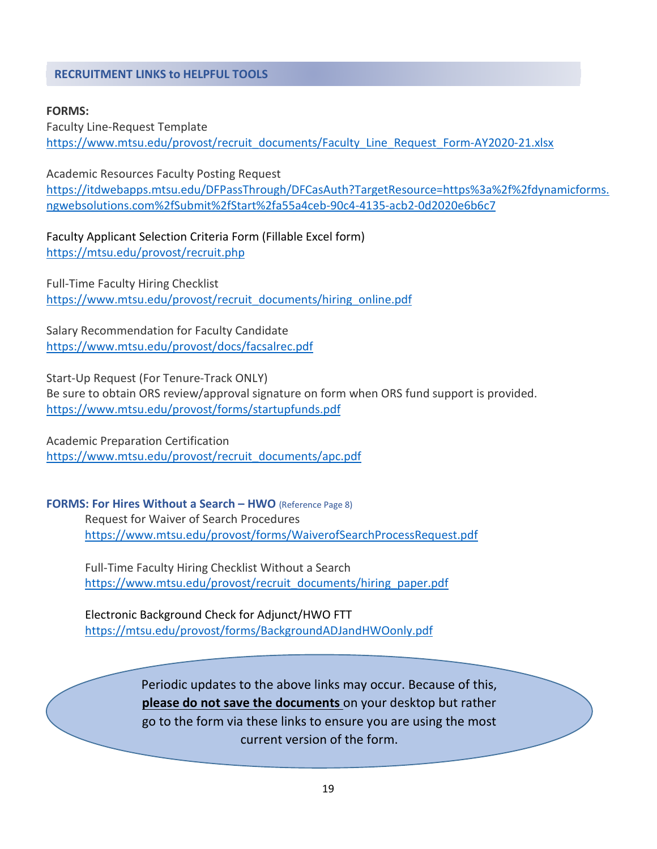# <span id="page-18-0"></span>**RECRUITMENT LINKS to HELPFUL TOOLS**

#### **FORMS:**

Faculty Line-Request Template [https://www.mtsu.edu/provost/recruit\\_documents/Faculty\\_Line\\_Request\\_Form-AY2020-21.xlsx](https://www.mtsu.edu/provost/recruit_documents/Faculty_Line_Request_Form-AY2020-21.xlsx)

Academic Resources Faculty Posting Request [https://itdwebapps.mtsu.edu/DFPassThrough/DFCasAuth?TargetResource=https%3a%2f%2fdynamicforms.](https://itdwebapps.mtsu.edu/DFPassThrough/DFCasAuth?TargetResource=https%3a%2f%2fdynamicforms.ngwebsolutions.com%2fSubmit%2fStart%2fa55a4ceb-90c4-4135-acb2-0d2020e6b6c7) [ngwebsolutions.com%2fSubmit%2fStart%2fa55a4ceb-90c4-4135-acb2-0d2020e6b6c7](https://itdwebapps.mtsu.edu/DFPassThrough/DFCasAuth?TargetResource=https%3a%2f%2fdynamicforms.ngwebsolutions.com%2fSubmit%2fStart%2fa55a4ceb-90c4-4135-acb2-0d2020e6b6c7)

Faculty Applicant Selection Criteria Form (Fillable Excel form) <https://mtsu.edu/provost/recruit.php>

Full-Time Faculty Hiring Checklist [https://www.mtsu.edu/provost/recruit\\_documents/hiring\\_online.pdf](https://www.mtsu.edu/provost/recruit_documents/hiring_online.pdf)

Salary Recommendation for Faculty Candidate <https://www.mtsu.edu/provost/docs/facsalrec.pdf>

Start-Up Request (For Tenure-Track ONLY)

Be sure to obtain ORS review/approval signature on form when ORS fund support is provided. <https://www.mtsu.edu/provost/forms/startupfunds.pdf>

Academic Preparation Certification [https://www.mtsu.edu/provost/recruit\\_documents/apc.pdf](https://www.mtsu.edu/provost/recruit_documents/apc.pdf)

**FORMS: For Hires Without a Search – HWO** (Reference Page 8) Request for Waiver of Search Procedures <https://www.mtsu.edu/provost/forms/WaiverofSearchProcessRequest.pdf>

Full-Time Faculty Hiring Checklist Without a Search [https://www.mtsu.edu/provost/recruit\\_documents/hiring\\_paper.pdf](https://www.mtsu.edu/provost/recruit_documents/hiring_paper.pdf)

Electronic Background Check for Adjunct/HWO FTT <https://mtsu.edu/provost/forms/BackgroundADJandHWOonly.pdf>

> Periodic updates to the above links may occur. Because of this, **please do not save the documents** on your desktop but rather go to the form via these links to ensure you are using the most current version of the form.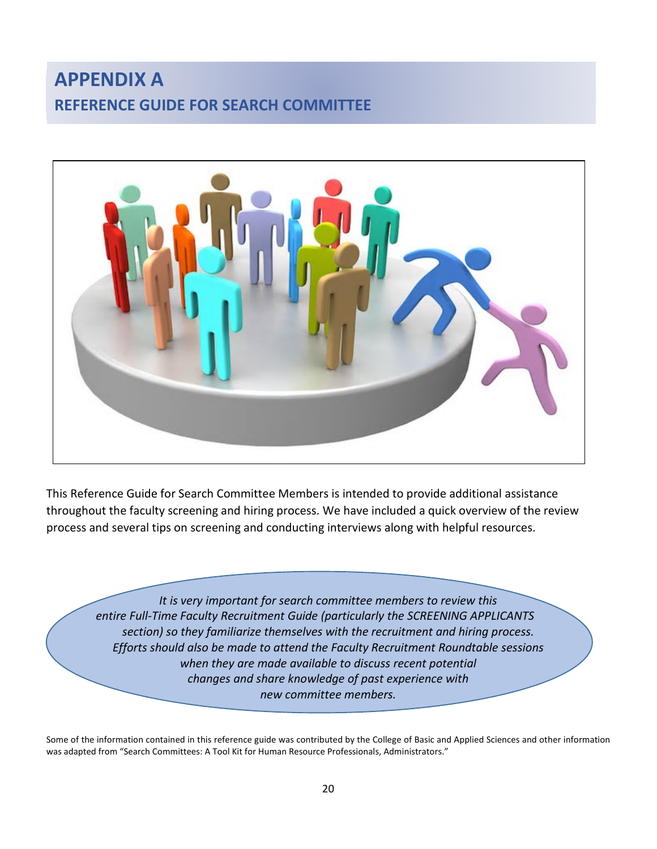# <span id="page-19-0"></span>**APPENDIX A REFERENCE GUIDE FOR SEARCH COMMITTEE**



This Reference Guide for Search Committee Members is intended to provide additional assistance throughout the faculty screening and hiring process. We have included a quick overview of the review process and several tips on screening and conducting interviews along with helpful resources.

*It is very important for search committee members to review this entire Full-Time Faculty Recruitment Guide (particularly the SCREENING APPLICANTS section) so they familiarize themselves with the recruitment and hiring process. Efforts should also be made to attend the Faculty Recruitment Roundtable sessions when they are made available to discuss recent potential changes and share knowledge of past experience with new committee members.*

Some of the information contained in this reference guide was contributed by the College of Basic and Applied Sciences and other information was adapted from "Search Committees: A Tool Kit for Human Resource Professionals, Administrators."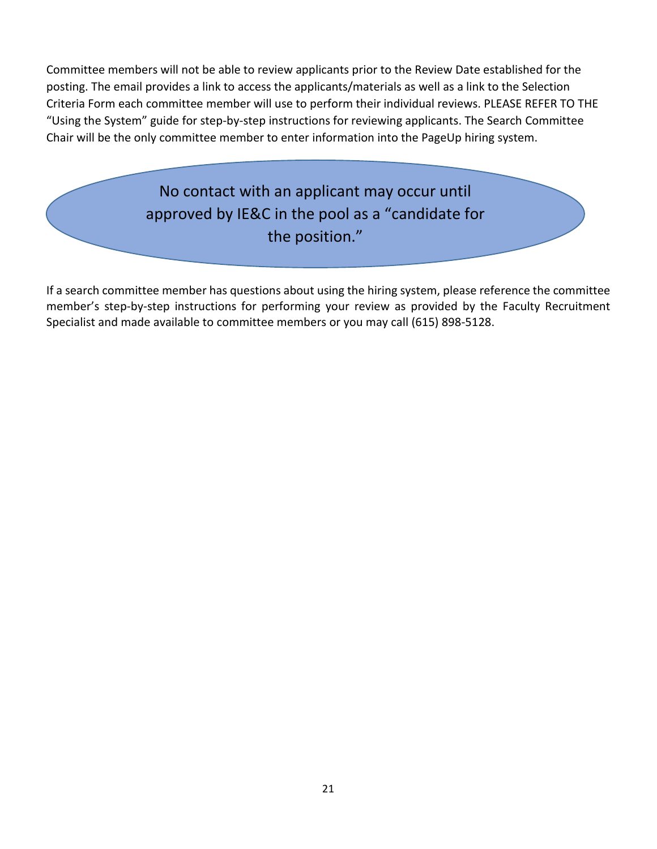Committee members will not be able to review applicants prior to the Review Date established for the posting. The email provides a link to access the applicants/materials as well as a link to the Selection Criteria Form each committee member will use to perform their individual reviews. PLEASE REFER TO THE "Using the System" guide for step-by-step instructions for reviewing applicants. The Search Committee Chair will be the only committee member to enter information into the PageUp hiring system.

> No contact with an applicant may occur until approved by IE&C in the pool as a "candidate for the position."

If a search committee member has questions about using the hiring system, please reference the committee member's step-by-step instructions for performing your review as provided by the Faculty Recruitment Specialist and made available to committee members or you may call (615) 898-5128.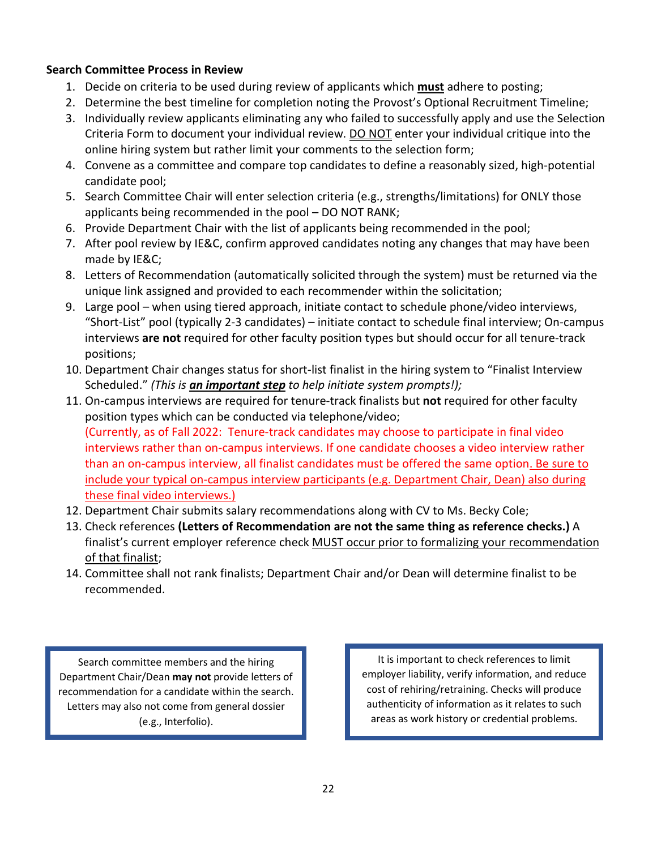# **Search Committee Process in Review**

- 1. Decide on criteria to be used during review of applicants which **must** adhere to posting;
- 2. Determine the best timeline for completion noting the Provost's Optional Recruitment Timeline;
- 3. Individually review applicants eliminating any who failed to successfully apply and use the Selection Criteria Form to document your individual review. DO NOT enter your individual critique into the online hiring system but rather limit your comments to the selection form;
- 4. Convene as a committee and compare top candidates to define a reasonably sized, high-potential candidate pool;
- 5. Search Committee Chair will enter selection criteria (e.g., strengths/limitations) for ONLY those applicants being recommended in the pool – DO NOT RANK;
- 6. Provide Department Chair with the list of applicants being recommended in the pool;
- 7. After pool review by IE&C, confirm approved candidates noting any changes that may have been made by IE&C;
- 8. Letters of Recommendation (automatically solicited through the system) must be returned via the unique link assigned and provided to each recommender within the solicitation;
- 9. Large pool when using tiered approach, initiate contact to schedule phone/video interviews, "Short-List" pool (typically 2-3 candidates) – initiate contact to schedule final interview; On-campus interviews **are not** required for other faculty position types but should occur for all tenure-track positions;
- 10. Department Chair changes status for short-list finalist in the hiring system to "Finalist Interview Scheduled." *(This is an important step to help initiate system prompts!);*
- 11. On-campus interviews are required for tenure-track finalists but **not** required for other faculty position types which can be conducted via telephone/video; (Currently, as of Fall 2022: Tenure-track candidates may choose to participate in final video interviews rather than on-campus interviews. If one candidate chooses a video interview rather than an on-campus interview, all finalist candidates must be offered the same option. Be sure to include your typical on-campus interview participants (e.g. Department Chair, Dean) also during these final video interviews.)
- 12. Department Chair submits salary recommendations along with CV to Ms. Becky Cole;
- 13. Check references **(Letters of Recommendation are not the same thing as reference checks.)** A finalist's current employer reference check MUST occur prior to formalizing your recommendation of that finalist;
- 14. Committee shall not rank finalists; Department Chair and/or Dean will determine finalist to be recommended.

Search committee members and the hiring Department Chair/Dean **may not** provide letters of recommendation for a candidate within the search. Letters may also not come from general dossier (e.g., Interfolio).

It is important to check references to limit employer liability, verify information, and reduce cost of rehiring/retraining. Checks will produce authenticity of information as it relates to such areas as work history or credential problems.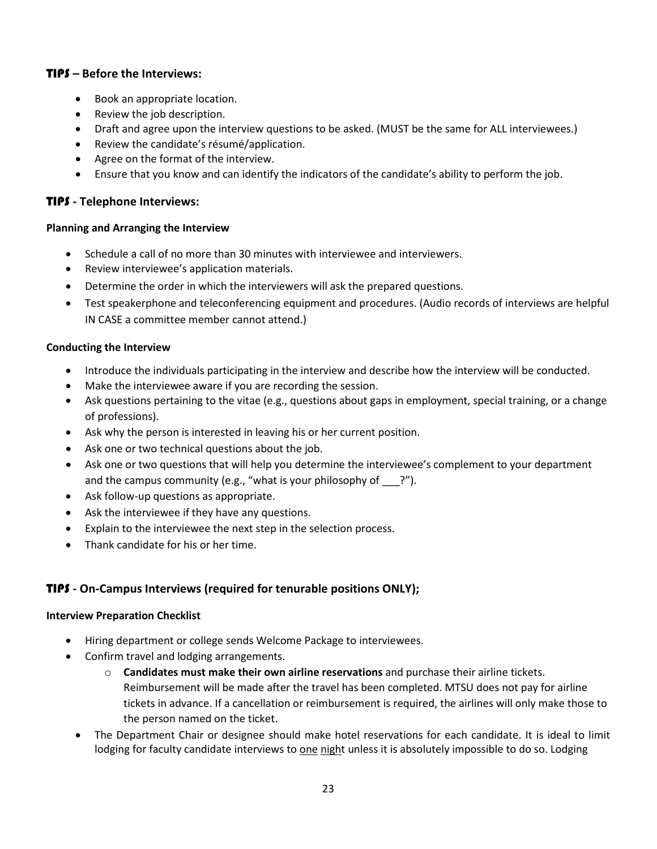## TIPS **– Before the Interviews:**

- Book an appropriate location.
- Review the job description.
- Draft and agree upon the interview questions to be asked. (MUST be the same for ALL interviewees.)
- Review the candidate's résumé/application.
- Agree on the format of the interview.
- Ensure that you know and can identify the indicators of the candidate's ability to perform the job.

# TIPS **- Telephone Interviews:**

#### **Planning and Arranging the Interview**

- Schedule a call of no more than 30 minutes with interviewee and interviewers.
- Review interviewee's application materials.
- Determine the order in which the interviewers will ask the prepared questions.
- Test speakerphone and teleconferencing equipment and procedures. (Audio records of interviews are helpful IN CASE a committee member cannot attend.)

#### **Conducting the Interview**

- Introduce the individuals participating in the interview and describe how the interview will be conducted.
- Make the interviewee aware if you are recording the session.
- Ask questions pertaining to the vitae (e.g., questions about gaps in employment, special training, or a change of professions).
- Ask why the person is interested in leaving his or her current position.
- Ask one or two technical questions about the job.
- Ask one or two questions that will help you determine the interviewee's complement to your department and the campus community (e.g., "what is your philosophy of  $\qquad$ ?").
- Ask follow-up questions as appropriate.
- Ask the interviewee if they have any questions.
- Explain to the interviewee the next step in the selection process.
- Thank candidate for his or her time.

# TIPS **- On-Campus Interviews (required for tenurable positions ONLY);**

#### **Interview Preparation Checklist**

- Hiring department or college sends Welcome Package to interviewees.
- Confirm travel and lodging arrangements.
	- o **Candidates must make their own airline reservations** and purchase their airline tickets. Reimbursement will be made after the travel has been completed. MTSU does not pay for airline tickets in advance. If a cancellation or reimbursement is required, the airlines will only make those to the person named on the ticket.
	- The Department Chair or designee should make hotel reservations for each candidate. It is ideal to limit lodging for faculty candidate interviews to one night unless it is absolutely impossible to do so. Lodging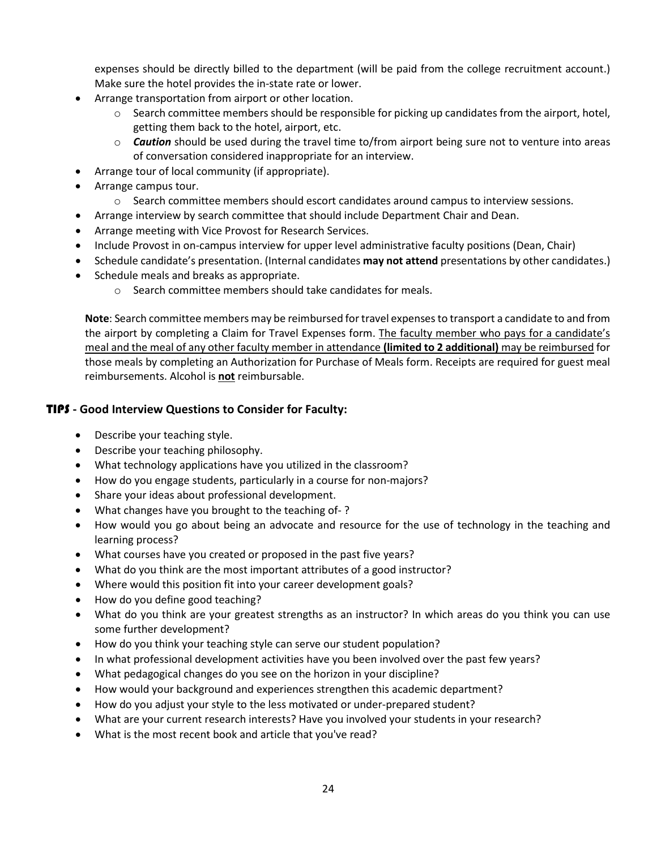expenses should be directly billed to the department (will be paid from the college recruitment account.) Make sure the hotel provides the in-state rate or lower.

- Arrange transportation from airport or other location.
	- $\circ$  Search committee members should be responsible for picking up candidates from the airport, hotel, getting them back to the hotel, airport, etc.
	- o *Caution* should be used during the travel time to/from airport being sure not to venture into areas of conversation considered inappropriate for an interview.
- Arrange tour of local community (if appropriate).
- Arrange campus tour.
	- o Search committee members should escort candidates around campus to interview sessions.
- Arrange interview by search committee that should include Department Chair and Dean.
- Arrange meeting with Vice Provost for Research Services.
- Include Provost in on-campus interview for upper level administrative faculty positions (Dean, Chair)
- Schedule candidate's presentation. (Internal candidates **may not attend** presentations by other candidates.)
- Schedule meals and breaks as appropriate.
	- o Search committee members should take candidates for meals.

**Note**: Search committee members may be reimbursed for travel expenses to transport a candidate to and from the airport by completing a Claim for Travel Expenses form. The faculty member who pays for a candidate's meal and the meal of any other faculty member in attendance **(limited to 2 additional)** may be reimbursed for those meals by completing an Authorization for Purchase of Meals form. Receipts are required for guest meal reimbursements. Alcohol is **not** reimbursable.

### TIPS **- Good Interview Questions to Consider for Faculty:**

- Describe your teaching style.
- Describe your teaching philosophy.
- What technology applications have you utilized in the classroom?
- How do you engage students, particularly in a course for non-majors?
- Share your ideas about professional development.
- What changes have you brought to the teaching of- ?
- How would you go about being an advocate and resource for the use of technology in the teaching and learning process?
- What courses have you created or proposed in the past five years?
- What do you think are the most important attributes of a good instructor?
- Where would this position fit into your career development goals?
- How do you define good teaching?
- What do you think are your greatest strengths as an instructor? In which areas do you think you can use some further development?
- How do you think your teaching style can serve our student population?
- In what professional development activities have you been involved over the past few years?
- What pedagogical changes do you see on the horizon in your discipline?
- How would your background and experiences strengthen this academic department?
- How do you adjust your style to the less motivated or under-prepared student?
- What are your current research interests? Have you involved your students in your research?
- What is the most recent book and article that you've read?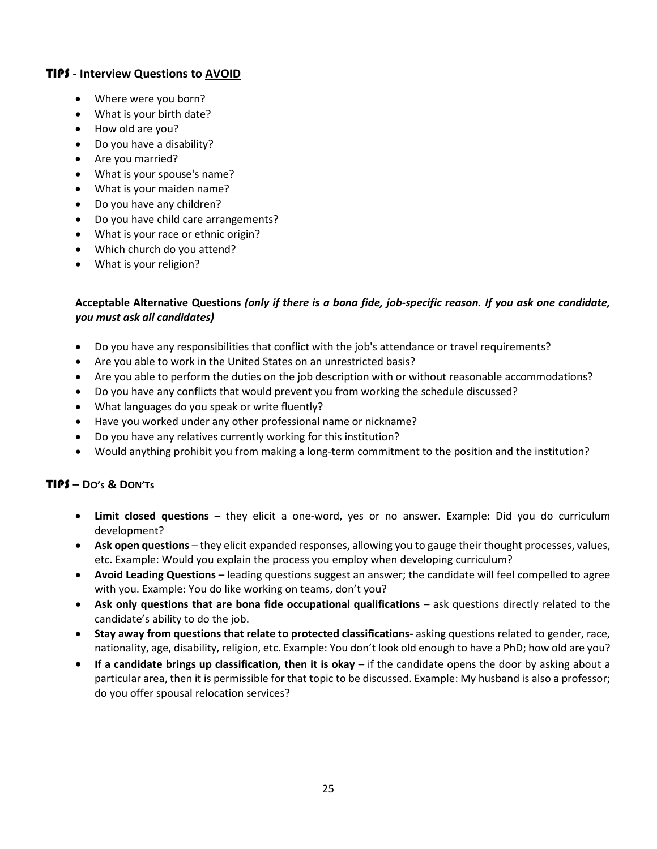# TIPS **- Interview Questions to AVOID**

- Where were you born?
- What is your birth date?
- How old are you?
- Do you have a disability?
- Are you married?
- What is your spouse's name?
- What is your maiden name?
- Do you have any children?
- Do you have child care arrangements?
- What is your race or ethnic origin?
- Which church do you attend?
- What is your religion?

### **Acceptable Alternative Questions** *(only if there is a bona fide, job-specific reason. If you ask one candidate, you must ask all candidates)*

- Do you have any responsibilities that conflict with the job's attendance or travel requirements?
- Are you able to work in the United States on an unrestricted basis?
- Are you able to perform the duties on the job description with or without reasonable accommodations?
- Do you have any conflicts that would prevent you from working the schedule discussed?
- What languages do you speak or write fluently?
- Have you worked under any other professional name or nickname?
- Do you have any relatives currently working for this institution?
- Would anything prohibit you from making a long-term commitment to the position and the institution?

### TIPS **– DO's & DON'Ts**

- **Limit closed questions** they elicit a one-word, yes or no answer. Example: Did you do curriculum development?
- **Ask open questions** they elicit expanded responses, allowing you to gauge their thought processes, values, etc. Example: Would you explain the process you employ when developing curriculum?
- **Avoid Leading Questions** leading questions suggest an answer; the candidate will feel compelled to agree with you. Example: You do like working on teams, don't you?
- **Ask only questions that are bona fide occupational qualifications –** ask questions directly related to the candidate's ability to do the job.
- **Stay away from questions that relate to protected classifications-** asking questions related to gender, race, nationality, age, disability, religion, etc. Example: You don't look old enough to have a PhD; how old are you?
- **If a candidate brings up classification, then it is okay –** if the candidate opens the door by asking about a particular area, then it is permissible for that topic to be discussed. Example: My husband is also a professor; do you offer spousal relocation services?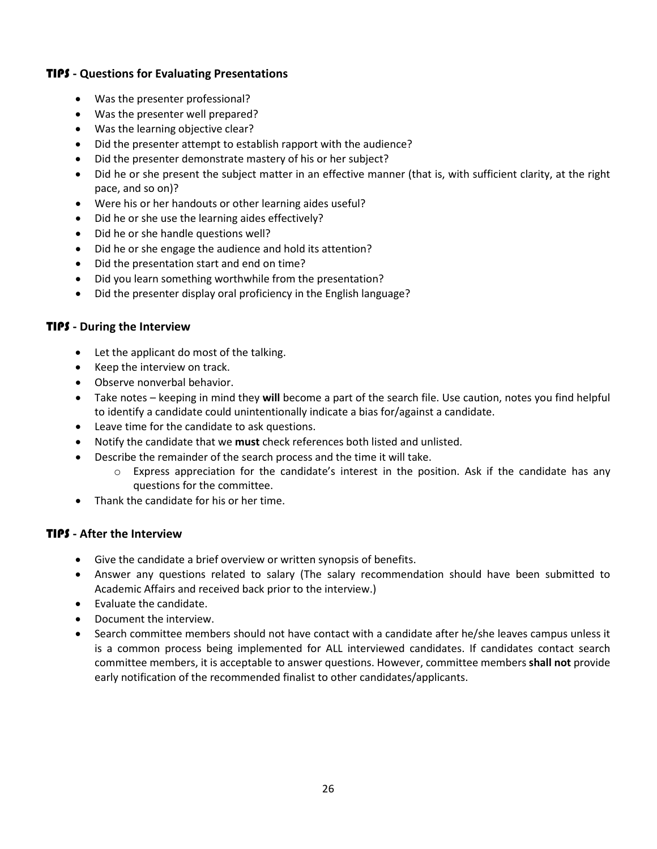# TIPS **- Questions for Evaluating Presentations**

- Was the presenter professional?
- Was the presenter well prepared?
- Was the learning objective clear?
- Did the presenter attempt to establish rapport with the audience?
- Did the presenter demonstrate mastery of his or her subject?
- Did he or she present the subject matter in an effective manner (that is, with sufficient clarity, at the right pace, and so on)?
- Were his or her handouts or other learning aides useful?
- Did he or she use the learning aides effectively?
- Did he or she handle questions well?
- Did he or she engage the audience and hold its attention?
- Did the presentation start and end on time?
- Did you learn something worthwhile from the presentation?
- Did the presenter display oral proficiency in the English language?

#### TIPS **- During the Interview**

- Let the applicant do most of the talking.
- Keep the interview on track.
- Observe nonverbal behavior.
- Take notes keeping in mind they **will** become a part of the search file. Use caution, notes you find helpful to identify a candidate could unintentionally indicate a bias for/against a candidate.
- Leave time for the candidate to ask questions.
- Notify the candidate that we **must** check references both listed and unlisted.
- Describe the remainder of the search process and the time it will take.
	- $\circ$  Express appreciation for the candidate's interest in the position. Ask if the candidate has any questions for the committee.
- Thank the candidate for his or her time.

#### TIPS **- After the Interview**

- Give the candidate a brief overview or written synopsis of benefits.
- Answer any questions related to salary (The salary recommendation should have been submitted to Academic Affairs and received back prior to the interview.)
- Evaluate the candidate.
- Document the interview.
- Search committee members should not have contact with a candidate after he/she leaves campus unless it is a common process being implemented for ALL interviewed candidates. If candidates contact search committee members, it is acceptable to answer questions. However, committee members **shall not** provide early notification of the recommended finalist to other candidates/applicants.